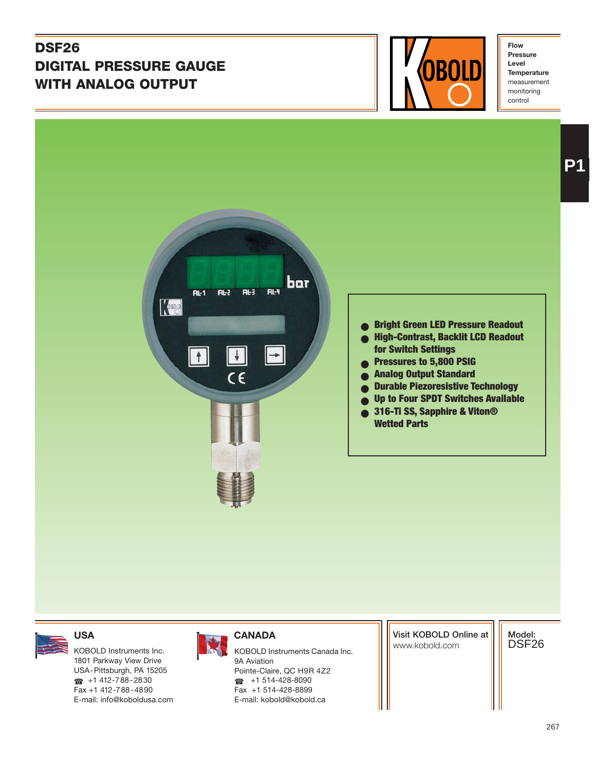# **DSF26 DIGITAL PRESSURE GAUGE WITH ANALOG OUTPUT**



**Flow Pressure Level Temperature** measurement monitoring control





## ● **Bright Green LED Pressure Readout**

- **High-Contrast, Backlit LCD Readout for Switch Settings**
- **Pressures to 5,800 PSIG**
- **Analog Output Standard**
- **Durable Piezoresistive Technology**
- **Up to Four SPDT Switches Available**
- **316-Ti SS, Sapphire & Viton® Wetted Parts**

1801 Parkway View Drive USA-Pittsburgh, PA 15205  $\bullet$  +1 412-788-2830 Fax +1 412-788-4890 E-mail: info@koboldusa.com



KOBOLD Instruments Inc. **KOBOLD Instruments Canada Inc.** And Instruments Canada Inc. 9A Aviation Pointe-Claire, QC H9R 4Z2 ☎ +1 514-428-8090 Fax +1 514-428-8899 E-mail: kobold@kobold.ca

**Visit KOBOLD Online at**

**Model:** DSF26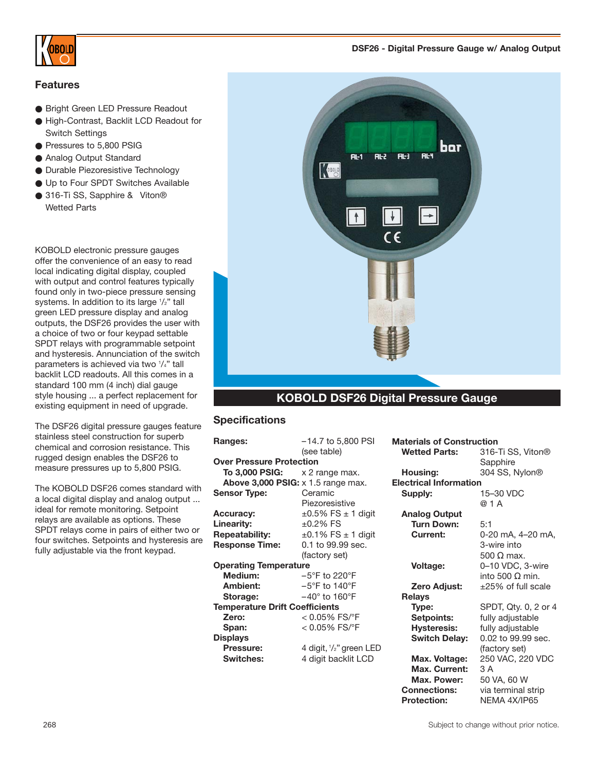

### **Features**

- Bright Green LED Pressure Readout
- High-Contrast, Backlit LCD Readout for Switch Settings
- Pressures to 5,800 PSIG
- Analog Output Standard
- Durable Piezoresistive Technology
- Up to Four SPDT Switches Available
- 316-Ti SS, Sapphire & Viton® Wetted Parts

KOBOLD electronic pressure gauges offer the convenience of an easy to read local indicating digital display, coupled with output and control features typically found only in two-piece pressure sensing systems. In addition to its large 1/2" tall green LED pressure display and analog outputs, the DSF26 provides the user with a choice of two or four keypad settable SPDT relays with programmable setpoint and hysteresis. Annunciation of the switch parameters is achieved via two 1 /4" tall backlit LCD readouts. All this comes in a standard 100 mm (4 inch) dial gauge style housing ... a perfect replacement for existing equipment in need of upgrade.

The DSF26 digital pressure gauges feature stainless steel construction for superb chemical and corrosion resistance. This rugged design enables the DSF26 to measure pressures up to 5,800 PSIG.

The KOBOLD DSF26 comes standard with a local digital display and analog output ... ideal for remote monitoring. Setpoint relays are available as options. These SPDT relays come in pairs of either two or four switches. Setpoints and hysteresis are fully adjustable via the front keypad.





#### **KOBOLD DSF26 Digital Pressure Gauge**

#### **Specifications**

| Ranges:                               | $-14.7$ to 5,800 PSI                        |                               | <b>Materials of Construction</b> |  |  |  |  |  |  |
|---------------------------------------|---------------------------------------------|-------------------------------|----------------------------------|--|--|--|--|--|--|
|                                       | (see table)                                 | <b>Wetted Parts:</b>          | 316-Ti SS, Viton <sup>®</sup>    |  |  |  |  |  |  |
| <b>Over Pressure Protection</b>       |                                             |                               | Sapphire                         |  |  |  |  |  |  |
| To 3,000 PSIG:                        | x 2 range max.                              | Housing:                      | 304 SS, Nylon®                   |  |  |  |  |  |  |
|                                       | Above $3,000$ PSIG: $\times$ 1.5 range max. | <b>Electrical Information</b> |                                  |  |  |  |  |  |  |
| Sensor Type:                          | Ceramic                                     | Supply:                       | 15-30 VDC                        |  |  |  |  |  |  |
|                                       | Piezoresistive                              |                               | @ 1 A                            |  |  |  |  |  |  |
| Accuracy:                             | $\pm 0.5\%$ FS $\pm$ 1 digit                | <b>Analog Output</b>          |                                  |  |  |  |  |  |  |
| Linearity:                            | $±0.2%$ FS                                  | <b>Turn Down:</b>             | 5:1                              |  |  |  |  |  |  |
| <b>Repeatability:</b>                 | $\pm 0.1\%$ FS $\pm$ 1 digit                | Current:                      | 0-20 mA, 4-20 mA,                |  |  |  |  |  |  |
| <b>Response Time:</b>                 | 0.1 to 99.99 sec.                           |                               | 3-wire into                      |  |  |  |  |  |  |
|                                       | (factory set)                               |                               | 500 $\Omega$ max.                |  |  |  |  |  |  |
| <b>Operating Temperature</b>          |                                             | Voltage:                      | 0-10 VDC, 3-wire                 |  |  |  |  |  |  |
| Medium:                               | $-5^{\circ}$ F to 220 $^{\circ}$ F          |                               | into 500 $\Omega$ min.           |  |  |  |  |  |  |
| Ambient:                              | $-5^{\circ}$ F to 140 $^{\circ}$ F          | Zero Adjust:                  | $\pm 25\%$ of full scale         |  |  |  |  |  |  |
| Storage:                              | $-40^\circ$ to 160 $^\circ$ F               | <b>Relays</b>                 |                                  |  |  |  |  |  |  |
| <b>Temperature Drift Coefficients</b> |                                             | Type:                         | SPDT, Qty. 0, 2 or 4             |  |  |  |  |  |  |
| Zero:                                 | $< 0.05\%$ FS/ $\degree$ F                  | Setpoints:                    | fully adjustable                 |  |  |  |  |  |  |
| Span:                                 | $< 0.05\%$ FS/ $\degree$ F                  | <b>Hysteresis:</b>            | fully adjustable                 |  |  |  |  |  |  |
| Displays                              |                                             | <b>Switch Delay:</b>          | 0.02 to 99.99 sec.               |  |  |  |  |  |  |
| Pressure:                             | 4 digit, $1/2$ " green LED                  |                               | (factory set)                    |  |  |  |  |  |  |
| <b>Switches:</b>                      | 4 digit backlit LCD                         | Max. Voltage:                 | 250 VAC, 220 VDC                 |  |  |  |  |  |  |
|                                       |                                             | Max. Current:                 | 3 A                              |  |  |  |  |  |  |
|                                       |                                             | Max. Power:                   | 50 VA, 60 W                      |  |  |  |  |  |  |
|                                       |                                             | <b>Connections:</b>           | via terminal strip               |  |  |  |  |  |  |
|                                       |                                             |                               |                                  |  |  |  |  |  |  |

**Protection:** NEMA 4X/IP65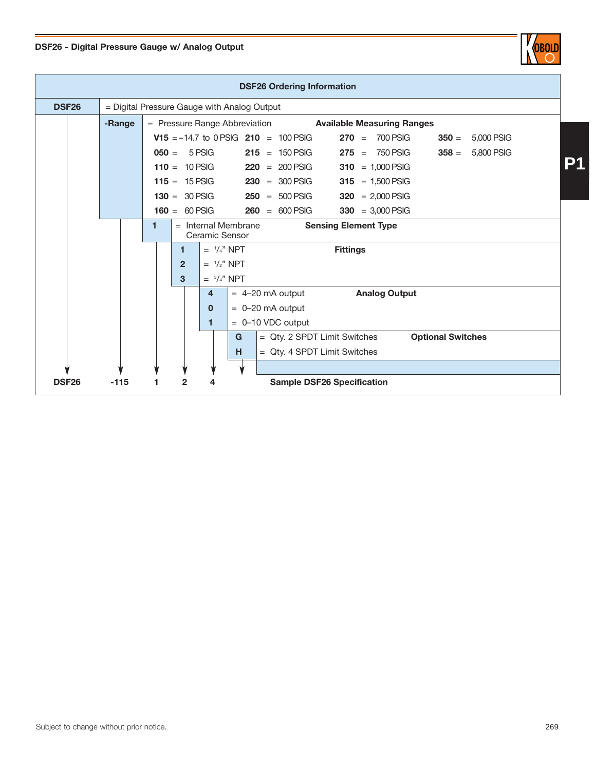



| <b>DSF26 Ordering Information</b> |  |                                             |                                                                             |                                           |                         |   |  |                                               |  |                 |                                   |  |                          |            |  |  |
|-----------------------------------|--|---------------------------------------------|-----------------------------------------------------------------------------|-------------------------------------------|-------------------------|---|--|-----------------------------------------------|--|-----------------|-----------------------------------|--|--------------------------|------------|--|--|
| <b>DSF26</b>                      |  | = Digital Pressure Gauge with Analog Output |                                                                             |                                           |                         |   |  |                                               |  |                 |                                   |  |                          |            |  |  |
|                                   |  | -Range                                      |                                                                             | = Pressure Range Abbreviation             |                         |   |  |                                               |  |                 | <b>Available Measuring Ranges</b> |  |                          |            |  |  |
|                                   |  |                                             |                                                                             |                                           |                         |   |  | <b>V15</b> = $-14.7$ to 0 PSIG 210 = 100 PSIG |  | $270 =$         | 700 PSIG                          |  | $350 =$                  | 5,000 PSIG |  |  |
|                                   |  |                                             |                                                                             | $050 = 5 PSIG$                            |                         |   |  | $215 = 150$ PSIG                              |  |                 | $275 = 750$ PSIG                  |  | $358 =$                  | 5,800 PSIG |  |  |
|                                   |  |                                             | $110 = 10$ PSIG                                                             |                                           |                         |   |  | $220 = 200$ PSIG                              |  | 310             | $= 1,000$ PSIG                    |  |                          |            |  |  |
|                                   |  |                                             |                                                                             | $115 = 15$ PSIG                           |                         |   |  | $230 = 300$ PSIG                              |  | 315             | $= 1,500$ PSIG                    |  |                          |            |  |  |
|                                   |  |                                             |                                                                             | $130 = 30$ PSIG                           |                         |   |  | $250 = 500$ PSIG                              |  | 320             | $= 2,000$ PSIG                    |  |                          |            |  |  |
|                                   |  |                                             |                                                                             | $160 = 60$ PSIG                           |                         |   |  | $260 = 600$ PSIG                              |  | 330             | $= 3,000$ PSIG                    |  |                          |            |  |  |
|                                   |  |                                             | $=$ Internal Membrane<br>1<br><b>Sensing Element Type</b><br>Ceramic Sensor |                                           |                         |   |  |                                               |  |                 |                                   |  |                          |            |  |  |
|                                   |  |                                             |                                                                             | 1                                         | $=$ $\frac{1}{4}$ " NPT |   |  |                                               |  | <b>Fittings</b> |                                   |  |                          |            |  |  |
|                                   |  |                                             |                                                                             | $=$ $\frac{1}{2}$ " NPT<br>$\overline{2}$ |                         |   |  |                                               |  |                 |                                   |  |                          |            |  |  |
|                                   |  |                                             |                                                                             | 3<br>$=$ $\frac{3}{4}$ " NPT              |                         |   |  |                                               |  |                 |                                   |  |                          |            |  |  |
|                                   |  |                                             | <b>Analog Output</b><br>4<br>$= 4-20$ mA output                             |                                           |                         |   |  |                                               |  |                 |                                   |  |                          |            |  |  |
|                                   |  |                                             |                                                                             |                                           | $\mathbf{0}$            |   |  | $= 0 - 20$ mA output                          |  |                 |                                   |  |                          |            |  |  |
|                                   |  |                                             |                                                                             |                                           | 1                       |   |  | $= 0 - 10$ VDC output                         |  |                 |                                   |  |                          |            |  |  |
|                                   |  |                                             |                                                                             |                                           |                         | G |  | = Qty. 2 SPDT Limit Switches                  |  |                 |                                   |  | <b>Optional Switches</b> |            |  |  |
|                                   |  |                                             |                                                                             |                                           |                         | н |  | = Qty. 4 SPDT Limit Switches                  |  |                 |                                   |  |                          |            |  |  |
|                                   |  |                                             |                                                                             |                                           |                         |   |  |                                               |  |                 |                                   |  |                          |            |  |  |
| <b>DSF26</b>                      |  | $-115$                                      | 1                                                                           | $\overline{2}$                            |                         |   |  | <b>Sample DSF26 Specification</b>             |  |                 |                                   |  |                          |            |  |  |